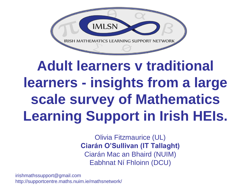

### **Adult learners v traditional learners - insights from a large scale survey of Mathematics Learning Support in Irish HEIs.**

Olivia Fitzmaurice (UL) **Ciarán O'Sullivan (IT Tallaght)** Ciarán Mac an Bhaird (NUIM) Eabhnat Ní Fhloinn (DCU)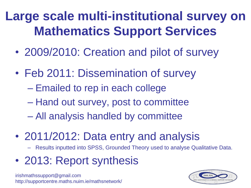**Large scale multi-institutional survey on Mathematics Support Services**

- 2009/2010: Creation and pilot of survey
- Feb 2011: Dissemination of survey
	- Emailed to rep in each college
	- Hand out survey, post to committee
	- All analysis handled by committee
- 2011/2012: Data entry and analysis
	- Results inputted into SPSS, Grounded Theory used to analyse Qualitative Data.
- 2013: Report synthesis

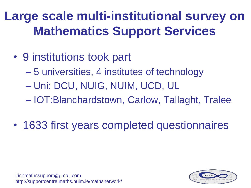### **Large scale multi-institutional survey on Mathematics Support Services**

- 9 institutions took part
	- 5 universities, 4 institutes of technology
	- Uni: DCU, NUIG, NUIM, UCD, UL
	- IOT:Blanchardstown, Carlow, Tallaght, Tralee
- 1633 first years completed questionnaires

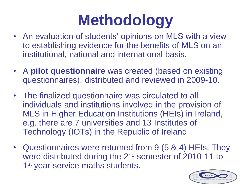# **Methodology**

- An evaluation of students' opinions on MLS with a view to establishing evidence for the benefits of MLS on an institutional, national and international basis.
- A **pilot questionnaire** was created (based on existing questionnaires), distributed and reviewed in 2009-10.
- The finalized questionnaire was circulated to all individuals and institutions involved in the provision of MLS in Higher Education Institutions (HEIs) in Ireland, e.g. there are 7 universities and 13 Institutes of Technology (IOTs) in the Republic of Ireland
- Questionnaires were returned from 9 (5 & 4) HEIs. They were distributed during the 2nd semester of 2010-11 to 1<sup>st</sup> year service maths students.

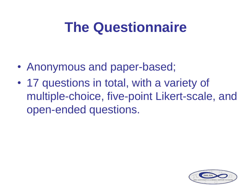### **The Questionnaire**

- Anonymous and paper-based;
- 17 questions in total, with a variety of multiple-choice, five-point Likert-scale, and open-ended questions.

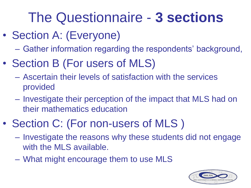### The Questionnaire - **3 sections**

- Section A: (Everyone)
	- Gather information regarding the respondents' background,
- Section B (For users of MLS)
	- Ascertain their levels of satisfaction with the services provided
	- Investigate their perception of the impact that MLS had on their mathematics education
- Section C: (For non-users of MLS )
	- Investigate the reasons why these students did not engage with the MLS available.
	- What might encourage them to use MLS

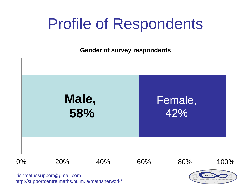### Profile of Respondents

**Gender of survey respondents** 



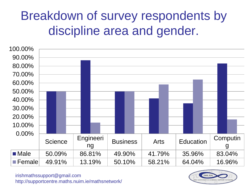### Breakdown of survey respondents by discipline area and gender.



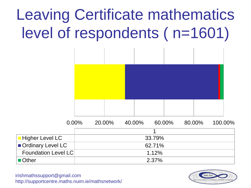# Leaving Certificate mathematics level of respondents ( n=1601)



|                            | $0.00\%$ | 20.00% | 40.00% | 60.00% | 80.00% | 100.00% |
|----------------------------|----------|--------|--------|--------|--------|---------|
|                            |          |        |        |        |        |         |
| <b>Higher Level LC</b>     |          |        |        | 33.79% |        |         |
| Ordinary Level LC          |          |        |        | 62.71% |        |         |
| <b>Foundation Level LC</b> |          |        |        | 1.12%  |        |         |
| ■ Other                    |          |        |        | 2.37%  |        |         |

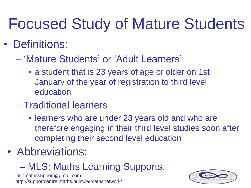## Focused Study of Mature Students

#### • Definitions:

- 'Mature Students' or 'Adult Learners'
	- a student that is 23 years of age or older on 1st January of the year of registration to third level education
- Traditional learners
	- learners who are under 23 years old and who are therefore engaging in their third level studies soon after completing their second level education
- Abbreviations:
	- MLS: Maths Learning Supports.

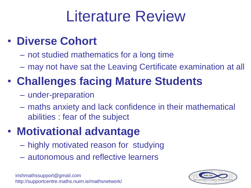## Literature Review

#### • **Diverse Cohort**

- not studied mathematics for a long time
- may not have sat the Leaving Certificate examination at all

### • **Challenges facing Mature Students**

- under-preparation
- maths anxiety and lack confidence in their mathematical abilities : fear of the subject

#### • **Motivational advantage**

- highly motivated reason for studying
- autonomous and reflective learners

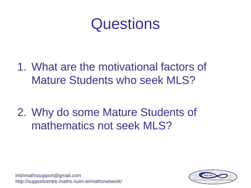### **Questions**

1. What are the motivational factors of Mature Students who seek MLS?

2. Why do some Mature Students of mathematics not seek MLS?

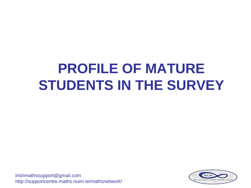### **PROFILE OF MATURE STUDENTS IN THE SURVEY**

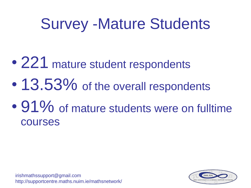## Survey -Mature Students

- 221 mature student respondents
- 13.53% of the overall respondents
- 91% of mature students were on fulltime courses

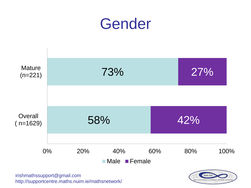



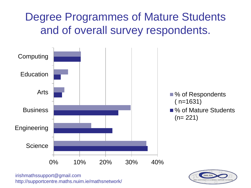#### Degree Programmes of Mature Students and of overall survey respondents.



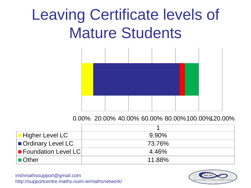## Leaving Certificate levels of Mature Students



0.00% 20.00% 40.00% 60.00% 80.00%100.00%120.00%

| $\blacksquare$ Higher Level LC | $9.90\%$ |
|--------------------------------|----------|
| Ordinary Level LC              | 73.76%   |
| <b>E</b> Foundation Level LC   | 4.46%    |
| $\blacksquare$ Other           | 11.88%   |

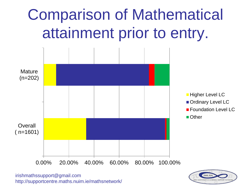# Comparison of Mathematical attainment prior to entry.



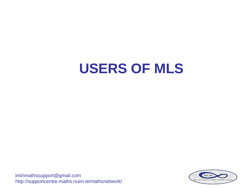### **USERS OF MLS**

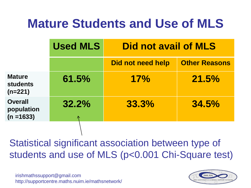### **Mature Students and Use of MLS**

|                                               | <b>Used MLS</b> | <b>Did not avail of MLS</b> |                      |
|-----------------------------------------------|-----------------|-----------------------------|----------------------|
|                                               |                 | Did not need help           | <b>Other Reasons</b> |
| <b>Mature</b><br><b>students</b><br>$(n=221)$ | 61.5%           | 17%                         | 21.5%                |
| <b>Overall</b><br>population<br>$(n = 1633)$  | 32.2%           | 33.3%                       | 34.5%                |

Statistical significant association between type of students and use of MLS (p<0.001 Chi-Square test)

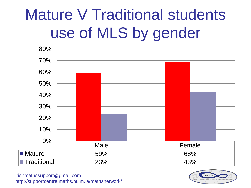# Mature V Traditional students use of MLS by gender



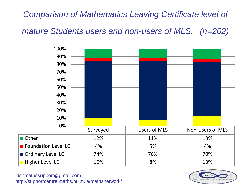#### *Comparison of Mathematics Leaving Certificate level of*

*mature Students users and non-users of MLS. (n=202)*



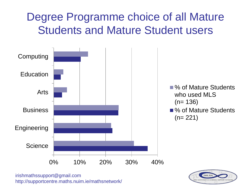#### Degree Programme choice of all Mature Students and Mature Student users



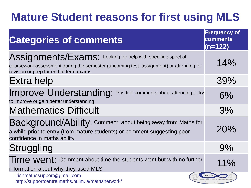#### **Mature Student reasons for first using MLS**

| <b>Categories of comments</b>                                                                                                                                                                   | <b>Frequency of</b><br>comments<br>$(n=122)$ |
|-------------------------------------------------------------------------------------------------------------------------------------------------------------------------------------------------|----------------------------------------------|
| Assignments/Exams: Looking for help with specific aspect of<br>coursework assessment during the semester (upcoming test, assignment) or attending for<br>revision or prep for end of term exams | 14%                                          |
| Extra help                                                                                                                                                                                      | 39%                                          |
| Improve Understanding: Positive comments about attending to try<br>to improve or gain better understanding                                                                                      | 6%                                           |
| <b>Mathematics Difficult</b>                                                                                                                                                                    | 3%                                           |
| Background/Ability: Comment about being away from Maths for<br>a while prior to entry (from mature students) or comment suggesting poor<br>confidence in maths ability                          | 20%                                          |
| Struggling                                                                                                                                                                                      | 9%                                           |
| Time went: Comment about time the students went but with no further<br>information about why they used MLS                                                                                      | 11%                                          |
| irishmathssupport@gmail.com<br>http://supportcentre.maths.nuim.ie/mathsnetwork/                                                                                                                 | <b>IMLS</b>                                  |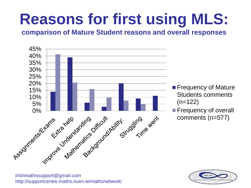# **Reasons for first using MLS:**

**comparison of Mature Student reasons and overall responses**



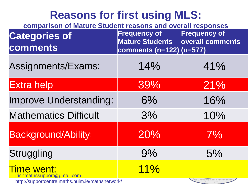#### **Reasons for first using MLS:**

| comparison of Mature Student reasons and overall responses |                                                                            |                                            |  |
|------------------------------------------------------------|----------------------------------------------------------------------------|--------------------------------------------|--|
| <b>Categories of</b><br>comments                           | <b>Frequency of</b><br><b>Mature Students</b><br>comments (n=122)  (n=577) | <b>Frequency of</b><br>overall comments    |  |
| Assignments/Exams:                                         | 14%                                                                        | 41%                                        |  |
| <b>Extra help</b>                                          | 39%                                                                        | 21%                                        |  |
| <b>Improve Understanding:</b>                              | 6%                                                                         | 16%                                        |  |
| <b>Mathematics Difficult</b>                               | 3%                                                                         | 10%                                        |  |
| <b>Background/Ability:</b>                                 | 20%                                                                        | 7%                                         |  |
| <b>Struggling</b>                                          | 9%                                                                         | 5%                                         |  |
| <b>Time went:</b><br>irishmathssupport@gmail.com           | 11%                                                                        | IRISH MATHEMATICS LEARNING SUPPORT NETWORK |  |
| http://supportcentre.maths.nuim.ie/mathsnetwork/           |                                                                            |                                            |  |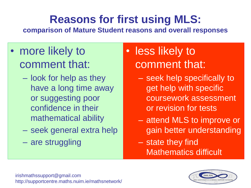### **Reasons for first using MLS:**

**comparison of Mature Student reasons and overall responses**

- more likely to comment that:
	- look for help as they have a long time away or suggesting poor confidence in their mathematical ability
	- seek general extra help
	- are struggling
- less likely to comment that:
	- seek help specifically to get help with specific coursework assessment or revision for tests
	- attend MLS to improve or gain better understanding
	- state they find Mathematics difficult

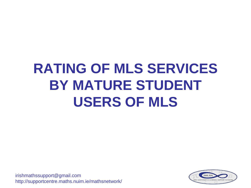### **RATING OF MLS SERVICES BY MATURE STUDENT USERS OF MLS**

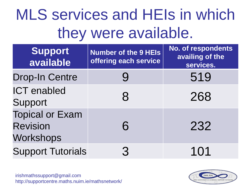## MLS services and HEIs in which they were available.

| <b>Support</b><br>available                            | <b>Number of the 9 HEIs</b><br>offering each service | <b>No. of respondents</b><br>availing of the<br>services. |
|--------------------------------------------------------|------------------------------------------------------|-----------------------------------------------------------|
| <b>Drop-In Centre</b>                                  |                                                      | 519                                                       |
| <b>ICT</b> enabled<br>Support                          | 8                                                    | 268                                                       |
| <b>Topical or Exam</b><br><b>Revision</b><br>Workshops | 6                                                    | 232                                                       |
| <b>Support Tutorials</b>                               | 3                                                    | 101                                                       |

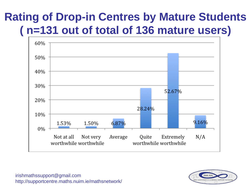#### **Rating of Drop-in Centres by Mature Students ( n=131 out of total of 136 mature users)**



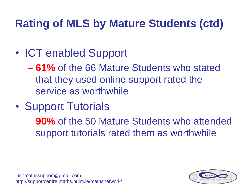### **Rating of MLS by Mature Students (ctd)**

- ICT enabled Support
	- **61%** of the 66 Mature Students who stated that they used online support rated the service as worthwhile
- Support Tutorials
	- **90%** of the 50 Mature Students who attended support tutorials rated them as worthwhile

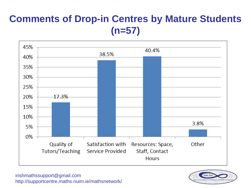#### **Comments of Drop-in Centres by Mature Students (n=57)**



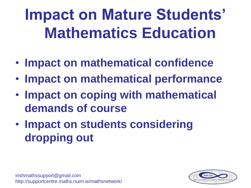# **Impact on Mature Students' Mathematics Education**

- **Impact on mathematical confidence**
- **Impact on mathematical performance**
- **Impact on coping with mathematical demands of course**
- **Impact on students considering dropping out**

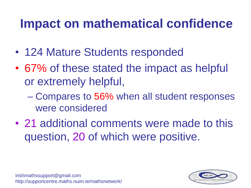### **Impact on mathematical confidence**

- 124 Mature Students responded
- 67% of these stated the impact as helpful or extremely helpful,
	- Compares to 56% when all student responses were considered
- 21 additional comments were made to this question, 20 of which were positive.

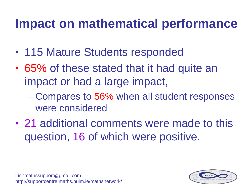### **Impact on mathematical performance**

- 115 Mature Students responded
- 65% of these stated that it had quite an impact or had a large impact,
	- Compares to 56% when all student responses were considered
- 21 additional comments were made to this question, 16 of which were positive.

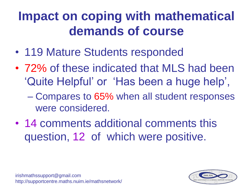### **Impact on coping with mathematical demands of course**

- 119 Mature Students responded
- 72% of these indicated that MLS had been 'Quite Helpful' or 'Has been a huge help',
	- Compares to 65% when all student responses were considered.
- 14 comments additional comments this question, 12 of which were positive.



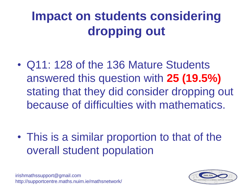### **Impact on students considering dropping out**

• Q11: 128 of the 136 Mature Students answered this question with **25 (19.5%)**  stating that they did consider dropping out because of difficulties with mathematics.

• This is a similar proportion to that of the overall student population

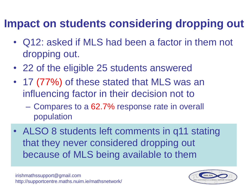#### **Impact on students considering dropping out**

- Q12: asked if MLS had been a factor in them not dropping out.
- 22 of the eligible 25 students answered
- 17 (77%) of these stated that MLS was an influencing factor in their decision not to
	- Compares to a 62.7% response rate in overall population
- ALSO 8 students left comments in q11 stating that they never considered dropping out because of MLS being available to them

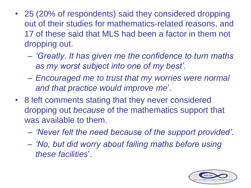- 25 (20% of respondents) said they considered dropping out of their studies for mathematics-related reasons, and 17 of these said that MLS had been a factor in them not dropping out.
	- *'Greatly. It has given me the confidence to turn maths as my worst subject into one of my best'.*
	- *Encouraged me to trust that my worries were normal and that practice would improve me*'.
- 8 left comments stating that they never considered dropping out *because* of the mathematics support that was available to them.
	- *'Never felt the need because of the support provided'.*
	- *'No, but did worry about failing maths before using these facilities*'.

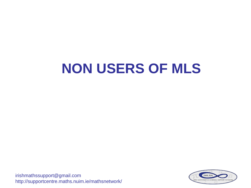### **NON USERS OF MLS**

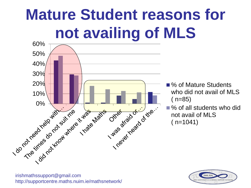# **Mature Student reasons for not availing of MLS**



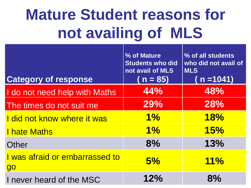# **Mature Student reasons for not availing of MLS**

| <b>Category of response</b>                 | % of Mature<br><b>Students who did</b><br>not avail of MLS<br>$n = 85$ | % of all students<br>who did not avail of<br><b>MLS</b><br>( n =1041) |
|---------------------------------------------|------------------------------------------------------------------------|-----------------------------------------------------------------------|
| I do not need help with Maths               | 44%                                                                    | 48%                                                                   |
| The times do not suit me                    | 29%                                                                    | 28%                                                                   |
| I did not know where it was                 | $1\%$                                                                  | 18%                                                                   |
| <b>I hate Maths</b>                         | $1\%$                                                                  | 15%                                                                   |
| Other                                       | 8%                                                                     | 13%                                                                   |
| I was afraid or embarrassed to<br><b>go</b> | 5%                                                                     | 11%                                                                   |
| I never heard of the MSC                    | 12%                                                                    | 8%                                                                    |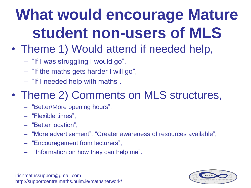# **What would encourage Mature student non-users of MLS**

- Theme 1) Would attend if needed help,
	- "If I was struggling I would go",
	- "If the maths gets harder I will go",
	- "If I needed help with maths".

#### • Theme 2) Comments on MLS structures,

- "Better/More opening hours",
- "Flexible times",
- "Better location",
- "More advertisement", "Greater awareness of resources available",
- "Encouragement from lecturers",
- "Information on how they can help me".

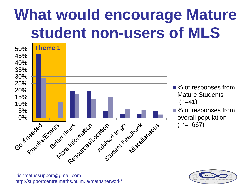# **What would encourage Mature student non-users of MLS**



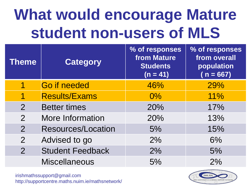# **What would encourage Mature student non-users of MLS**

| <b>Theme</b>   | <b>Category</b>           | % of responses<br><b>from Mature</b><br><b>Students</b><br>$(n = 41)$ | % of responses<br>from overall<br>population<br>$(n = 667)$ |
|----------------|---------------------------|-----------------------------------------------------------------------|-------------------------------------------------------------|
|                | <b>Go if needed</b>       | 46%                                                                   | 29%                                                         |
|                | <b>Results/Exams</b>      | $0\%$                                                                 | 11%                                                         |
| $\overline{2}$ | <b>Better times</b>       | 20%                                                                   | 17%                                                         |
| $\overline{2}$ | <b>More Information</b>   | 20%                                                                   | 13%                                                         |
| $\overline{2}$ | <b>Resources/Location</b> | 5%                                                                    | 15%                                                         |
| $\overline{2}$ | Advised to go             | 2%                                                                    | 6%                                                          |
| $\overline{2}$ | <b>Student Feedback</b>   | 2%                                                                    | 5%                                                          |
|                | <b>Miscellaneous</b>      | 5%                                                                    | 2%                                                          |

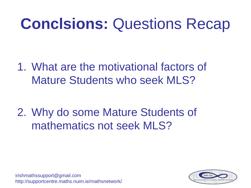## **Conclsions:** Questions Recap

1. What are the motivational factors of Mature Students who seek MLS?

2. Why do some Mature Students of mathematics not seek MLS?

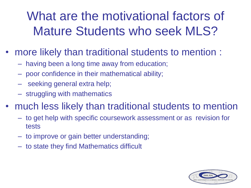### What are the motivational factors of Mature Students who seek MLS?

- more likely than traditional students to mention :
	- having been a long time away from education;
	- poor confidence in their mathematical ability;
	- seeking general extra help;
	- struggling with mathematics
- much less likely than traditional students to mention
	- to get help with specific coursework assessment or as revision for tests
	- to improve or gain better understanding;
	- to state they find Mathematics difficult

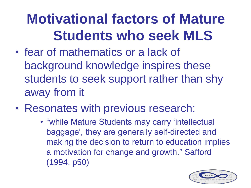### **Motivational factors of Mature Students who seek MLS**

- fear of mathematics or a lack of background knowledge inspires these students to seek support rather than shy away from it
- Resonates with previous research:
	- "while Mature Students may carry 'intellectual baggage', they are generally self-directed and making the decision to return to education implies a motivation for change and growth." Safford (1994, p50)

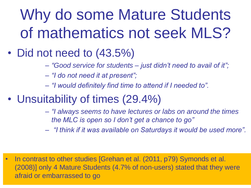# Why do some Mature Students of mathematics not seek MLS?

- Did not need to (43.5%)
	- *"Good service for students – just didn't need to avail of it";*
	- *"I do not need it at present";*
	- *"I would definitely find time to attend if I needed to".*
- Unsuitability of times (29.4%)
	- *"I always seems to have lectures or labs on around the times the MLC is open so I don't get a chance to go"*
	- *"I think if it was available on Saturdays it would be used more".*

afraid or embarrassed to go http://supportcentre.maths.nuim.ie/mathsnetwork/ • In contrast to other studies [Grehan et al. (2011, p79) Symonds et al. (2008)] only 4 Mature Students (4.7% of non-users) stated that they were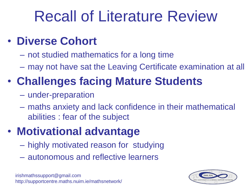## Recall of Literature Review

#### • **Diverse Cohort**

- not studied mathematics for a long time
- may not have sat the Leaving Certificate examination at all

### • **Challenges facing Mature Students**

- under-preparation
- maths anxiety and lack confidence in their mathematical abilities : fear of the subject

### • **Motivational advantage**

- highly motivated reason for studying
- autonomous and reflective learners

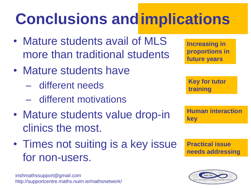# **Conclusions and implications**

- Mature students avail of MLS more than traditional students
- Mature students have
	- different needs
	- different motivations
- Mature students value drop-in clinics the most.
- Times not suiting is a key issue for non-users.

irishmathssupport@gmail.com http://supportcentre.maths.nuim.ie/mathsnetwork/

**Increasing in proportions in future years**

**Key for tutor training**

**Human interaction key**

**Practical issue needs addressing**